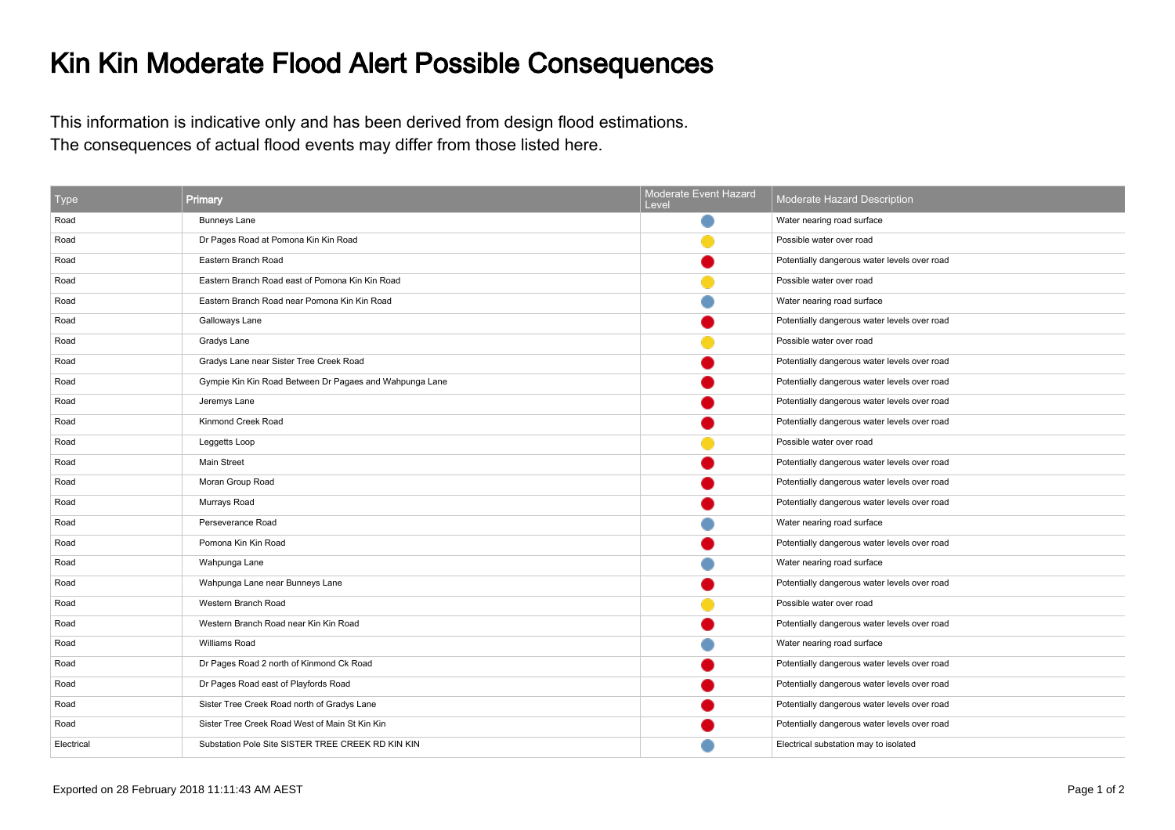## Kin Kin Moderate Flood Alert Possible Consequences

This information is indicative only and has been derived from design flood estimations.The consequences of actual flood events may differ from those listed here.

| <b>Type</b> | Primary                                                 | Moderate Event Hazard<br>Level | Moderate Hazard Description                  |
|-------------|---------------------------------------------------------|--------------------------------|----------------------------------------------|
| Road        | <b>Bunneys Lane</b>                                     |                                | Water nearing road surface                   |
| Road        | Dr Pages Road at Pomona Kin Kin Road                    |                                | Possible water over road                     |
| Road        | Eastern Branch Road                                     |                                | Potentially dangerous water levels over road |
| Road        | Eastern Branch Road east of Pomona Kin Kin Road         |                                | Possible water over road                     |
| Road        | Eastern Branch Road near Pomona Kin Kin Road            |                                | Water nearing road surface                   |
| Road        | Galloways Lane                                          |                                | Potentially dangerous water levels over road |
| Road        | Gradys Lane                                             |                                | Possible water over road                     |
| Road        | Gradys Lane near Sister Tree Creek Road                 |                                | Potentially dangerous water levels over road |
| Road        | Gympie Kin Kin Road Between Dr Pagaes and Wahpunga Lane |                                | Potentially dangerous water levels over road |
| Road        | Jeremys Lane                                            |                                | Potentially dangerous water levels over road |
| Road        | Kinmond Creek Road                                      |                                | Potentially dangerous water levels over road |
| Road        | Leggetts Loop                                           |                                | Possible water over road                     |
| Road        | <b>Main Street</b>                                      |                                | Potentially dangerous water levels over road |
| Road        | Moran Group Road                                        |                                | Potentially dangerous water levels over road |
| Road        | Murrays Road                                            |                                | Potentially dangerous water levels over road |
| Road        | Perseverance Road                                       |                                | Water nearing road surface                   |
| Road        | Pomona Kin Kin Road                                     |                                | Potentially dangerous water levels over road |
| Road        | Wahpunga Lane                                           |                                | Water nearing road surface                   |
| Road        | Wahpunga Lane near Bunneys Lane                         |                                | Potentially dangerous water levels over road |
| Road        | Western Branch Road                                     |                                | Possible water over road                     |
| Road        | Western Branch Road near Kin Kin Road                   |                                | Potentially dangerous water levels over road |
| Road        | Williams Road                                           |                                | Water nearing road surface                   |
| Road        | Dr Pages Road 2 north of Kinmond Ck Road                |                                | Potentially dangerous water levels over road |
| Road        | Dr Pages Road east of Playfords Road                    |                                | Potentially dangerous water levels over road |
| Road        | Sister Tree Creek Road north of Gradys Lane             |                                | Potentially dangerous water levels over road |
| Road        | Sister Tree Creek Road West of Main St Kin Kin          |                                | Potentially dangerous water levels over road |
| Electrical  | Substation Pole Site SISTER TREE CREEK RD KIN KIN       |                                | Electrical substation may to isolated        |